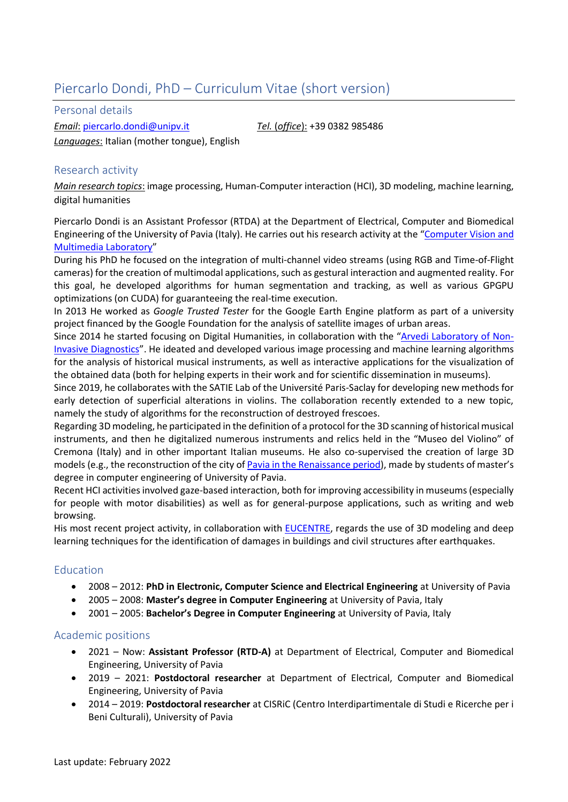# Piercarlo Dondi, PhD – Curriculum Vitae (short version)

Personal details

*Email*: [piercarlo.dondi@unipv.it](mailto:piercarlo.dondi@unipv.it) *Tel.* (*office*): +39 0382 985486 *Languages*: Italian (mother tongue), English

### Research activity

*Main research topics*: image processing, Human-Computer interaction (HCI), 3D modeling, machine learning, digital humanities

Piercarlo Dondi is an Assistant Professor (RTDA) at the Department of Electrical, Computer and Biomedical Engineering of the University of Pavia (Italy). He carries out his research activity at the "[Computer Vision and](https://vision.unipv.it/)  [Multimedia Laboratory](https://vision.unipv.it/)"

During his PhD he focused on the integration of multi-channel video streams (using RGB and Time-of-Flight cameras) for the creation of multimodal applications, such as gestural interaction and augmented reality. For this goal, he developed algorithms for human segmentation and tracking, as well as various GPGPU optimizations (on CUDA) for guaranteeing the real-time execution.

In 2013 He worked as *Google Trusted Tester* for the Google Earth Engine platform as part of a university project financed by the Google Foundation for the analysis of satellite images of urban areas.

Since 2014 he started focusing on Digital Humanities, in collaboration with the "[Arvedi Laboratory of Non-](https://www.museodelviolino.org/en/laboratori-scientifici/universita-di-pavia/)[Invasive Diagnostics](https://www.museodelviolino.org/en/laboratori-scientifici/universita-di-pavia/)". He ideated and developed various image processing and machine learning algorithms for the analysis of historical musical instruments, as well as interactive applications for the visualization of the obtained data (both for helping experts in their work and for scientific dissemination in museums).

Since 2019, he collaborates with the SATIE Lab of the Université Paris-Saclay for developing new methods for early detection of superficial alterations in violins. The collaboration recently extended to a new topic, namely the study of algorithms for the reconstruction of destroyed frescoes.

Regarding 3D modeling, he participated in the definition of a protocol for the 3D scanning of historical musical instruments, and then he digitalized numerous instruments and relics held in the "Museo del Violino" of Cremona (Italy) and in other important Italian museums. He also co-supervised the creation of large 3D models (e.g., the reconstruction of the city of [Pavia in the Renaissance period\)](https://vision.unipv.it/research/Pavia-rinascimentale/index_Eng-Pavia-rinascimentale.html), made by students of master's degree in computer engineering of University of Pavia.

Recent HCI activities involved gaze-based interaction, both for improving accessibility in museums (especially for people with motor disabilities) as well as for general-purpose applications, such as writing and web browsing.

His most recent project activity, in collaboration with [EUCENTRE,](https://www.eucentre.it/?lang=en) regards the use of 3D modeling and deep learning techniques for the identification of damages in buildings and civil structures after earthquakes.

#### Education

- 2008 2012: **PhD in Electronic, Computer Science and Electrical Engineering** at University of Pavia
- 2005 2008: **Master's degree in Computer Engineering** at University of Pavia, Italy
- 2001 2005: **Bachelor's Degree in Computer Engineering** at University of Pavia, Italy

#### Academic positions

- 2021 Now: **Assistant Professor (RTD-A)** at Department of Electrical, Computer and Biomedical Engineering, University of Pavia
- 2019 2021: **Postdoctoral researcher** at Department of Electrical, Computer and Biomedical Engineering, University of Pavia
- 2014 2019: **Postdoctoral researcher** at CISRiC (Centro Interdipartimentale di Studi e Ricerche per i Beni Culturali), University of Pavia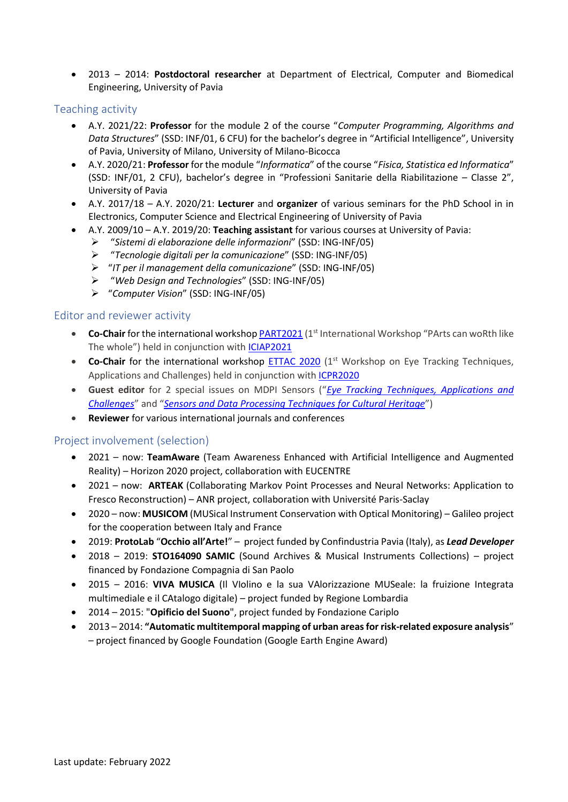• 2013 – 2014: **Postdoctoral researcher** at Department of Electrical, Computer and Biomedical Engineering, University of Pavia

### Teaching activity

- A.Y. 2021/22: **Professor** for the module 2 of the course "*Computer Programming, Algorithms and Data Structures*" (SSD: INF/01, 6 CFU) for the bachelor's degree in "Artificial Intelligence", University of Pavia, University of Milano, University of Milano-Bicocca
- A.Y. 2020/21: **Professor** for the module "*Informatica*" of the course "*Fisica, Statistica ed Informatica*" (SSD: INF/01, 2 CFU), bachelor's degree in "Professioni Sanitarie della Riabilitazione – Classe 2", University of Pavia
- A.Y. 2017/18 A.Y. 2020/21: **Lecturer** and **organizer** of various seminars for the PhD School in in Electronics, Computer Science and Electrical Engineering of University of Pavia
	- A.Y. 2009/10 A.Y. 2019/20: **Teaching assistant** for various courses at University of Pavia:
		- ➢ "*Sistemi di elaborazione delle informazioni*" (SSD: ING-INF/05)
		- ➢ "*Tecnologie digitali per la comunicazione*" (SSD: ING-INF/05)
		- ➢ "*IT per il management della comunicazione*" (SSD: ING-INF/05)
		- ➢ "*Web Design and Technologies*" (SSD: ING-INF/05)
		- ➢ "*Computer Vision*" (SSD: ING-INF/05)

#### Editor and reviewer activity

- **Co-Chair** for the international workshop **PART2021** (1<sup>st</sup> International Workshop "PArts can woRth like The whole") held in conjunction with [ICIAP2021](https://www.iciap2021.org/)
- **Co-Chair** for the international workshop **ETTAC 2020** (1<sup>st</sup> Workshop on Eye Tracking Techniques, Applications and Challenges) held in conjunction with [ICPR2020](https://www.micc.unifi.it/icpr2020/)
- **Guest editor** for 2 special issues on MDPI Sensors ("*[Eye Tracking Techniques, Applications and](https://www.mdpi.com/journal/sensors/special_issues/Eye_Tracking_TAC)  [Challenges](https://www.mdpi.com/journal/sensors/special_issues/Eye_Tracking_TAC)*" and "*[Sensors and Data Processing Techniques for Cultural Heritage](https://www.mdpi.com/journal/sensors/special_issues/SCH)*")
- **Reviewer** for various international journals and conferences

## Project involvement (selection)

- 2021 now: **TeamAware** (Team Awareness Enhanced with Artificial Intelligence and Augmented Reality) – Horizon 2020 project, collaboration with EUCENTRE
- 2021 now: **ARTEAK** (Collaborating Markov Point Processes and Neural Networks: Application to Fresco Reconstruction) – ANR project, collaboration with Université Paris-Saclay
- 2020 now: **MUSICOM** (MUSical Instrument Conservation with Optical Monitoring) Galileo project for the cooperation between Italy and France
- 2019: **ProtoLab** "**Occhio all'Arte!**" project funded by Confindustria Pavia (Italy), as *Lead Developer*
- 2018 2019: **STO164090 SAMIC** (Sound Archives & Musical Instruments Collections) project financed by Fondazione Compagnia di San Paolo
- 2015 2016: **VIVA MUSICA** (Il VIolino e la sua VAlorizzazione MUSeale: la fruizione Integrata multimediale e il CAtalogo digitale) – project funded by Regione Lombardia
- 2014 2015: "**Opificio del Suono**", project funded by Fondazione Cariplo
- 2013 2014: **"Automatic multitemporal mapping of urban areas for risk-related exposure analysis**" – project financed by Google Foundation (Google Earth Engine Award)